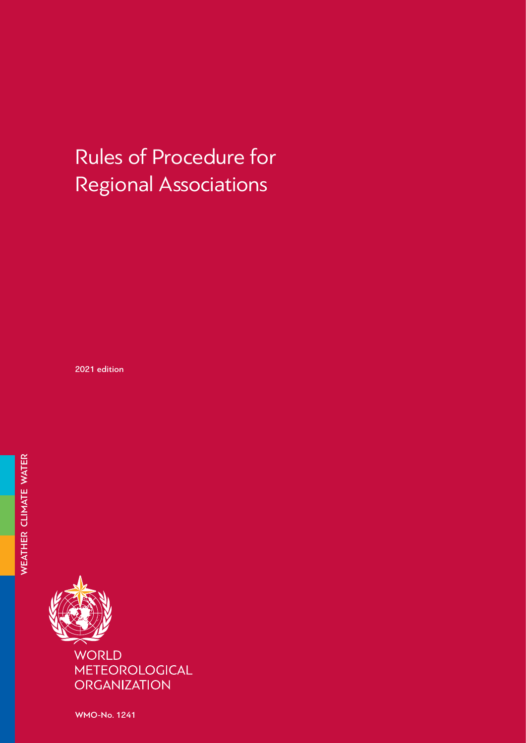# Rules of Procedure for Regional Associations

2021 edition



WMO-No. 1241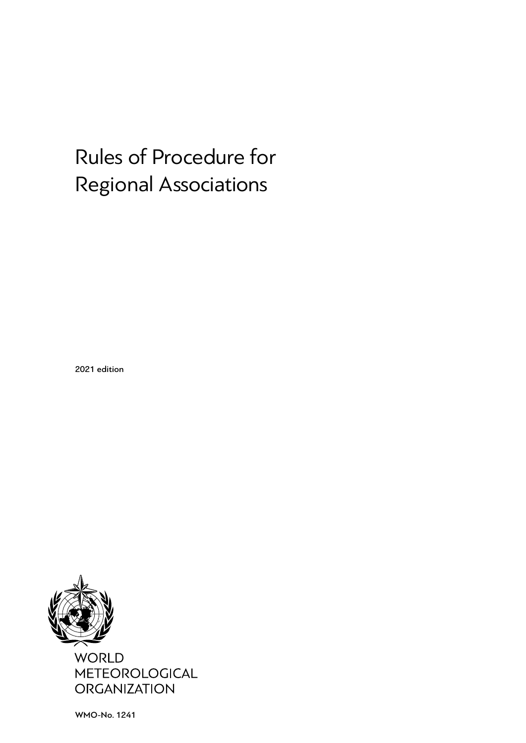# Rules of Procedure for Regional Associations

2021 edition



WMO-No. 1241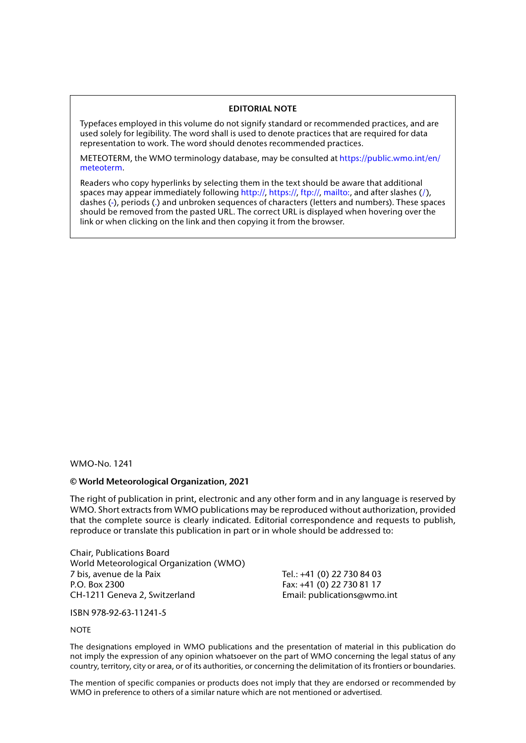#### **EDITORIAL NOTE**

Typefaces employed in this volume do not signify standard or recommended practices, and are used solely for legibility. The word shall is used to denote practices that are required for data representation to work. The word should denotes recommended practices.

METEOTERM, the WMO terminology database, may be consulted at [https://public.wmo.int/en/](https://public.wmo.int/en/meteoterm) [meteoterm](https://public.wmo.int/en/meteoterm).

Readers who copy hyperlinks by selecting them in the text should be aware that additional spaces may appear immediately following http://, https://, ftp://, mailto:, and after slashes  $(')$ , dashes (-), periods (.) and unbroken sequences of characters (letters and numbers). These spaces should be removed from the pasted URL. The correct URL is displayed when hovering over the link or when clicking on the link and then copying it from the browser.

#### WMO-No. 1241

#### **© World Meteorological Organization, 2021**

The right of publication in print, electronic and any other form and in any language is reserved by WMO. Short extracts from WMO publications may be reproduced without authorization, provided that the complete source is clearly indicated. Editorial correspondence and requests to publish, reproduce or translate this publication in part or in whole should be addressed to:

Chair, Publications Board World Meteorological Organization (WMO) 7 bis, avenue de la Paix Tel.: +41 (0) 22 730 84 03 P.O. Box 2300 Fax: +41 (0) 22 730 81 17 CH-1211 Geneva 2, Switzerland Email: publications@wmo.int

ISBN 978-92-63-11241-5

#### **NOTE**

The designations employed in WMO publications and the presentation of material in this publication do not imply the expression of any opinion whatsoever on the part of WMO concerning the legal status of any country, territory, city or area, or of its authorities, or concerning the delimitation of its frontiers or boundaries.

The mention of specific companies or products does not imply that they are endorsed or recommended by WMO in preference to others of a similar nature which are not mentioned or advertised.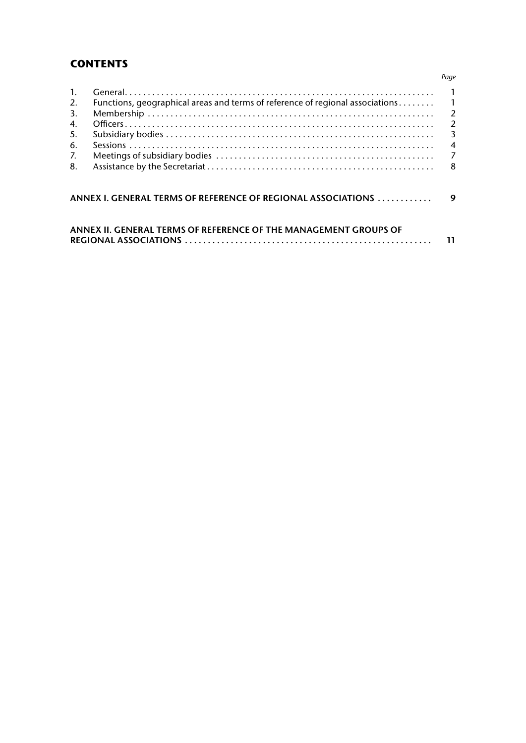# **CONTENTS**

| $1_{\cdot}$ |                                                                                 |   |
|-------------|---------------------------------------------------------------------------------|---|
| 2.          | Functions, geographical areas and terms of reference of regional associations 1 |   |
| 3.          |                                                                                 |   |
| 4.          |                                                                                 |   |
| 5.          |                                                                                 |   |
| 6.          |                                                                                 |   |
| 7.          |                                                                                 |   |
| 8.          |                                                                                 |   |
|             | ANNEX I. GENERAL TERMS OF REFERENCE OF REGIONAL ASSOCIATIONS                    | 9 |
|             | ANNIEV IL CENEDAL TEDMS OF DEFEDENCE OF THE MANACEMENT CROIDS OF                |   |

| ANNEX II. GENERAL TERMS OF REFERENCE OF THE MANAGEMENT GROUPS OF |  |
|------------------------------------------------------------------|--|
|                                                                  |  |

#### *Page*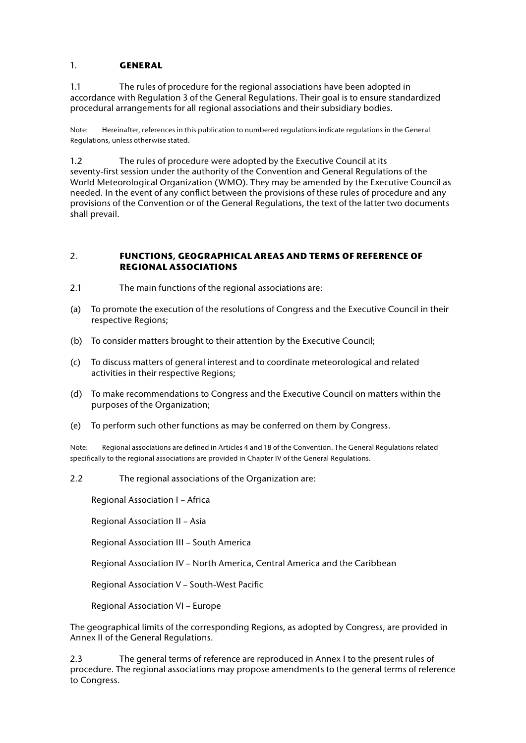## <span id="page-6-0"></span>1. **GENERAL**

1.1 The rules of procedure for the regional associations have been adopted in accordance with Regulation 3 of the General Regulations. Their goal is to ensure standardized procedural arrangements for all regional associations and their subsidiary bodies.

Note: Hereinafter, references in this publication to numbered regulations indicate regulations in the General Regulations, unless otherwise stated.

1.2 The rules of procedure were adopted by the Executive Council at its seventy-first session under the authority of the Convention and General Regulations of the World Meteorological Organization (WMO). They may be amended by the Executive Council as needed. In the event of any conflict between the provisions of these rules of procedure and any provisions of the Convention or of the General Regulations, the text of the latter two documents shall prevail.

#### 2. **FUNCTIONS, GEOGRAPHICAL AREAS AND TERMS OF REFERENCE OF REGIONAL ASSOCIATIONS**

- 2.1 The main functions of the regional associations are:
- (a) To promote the execution of the resolutions of Congress and the Executive Council in their respective Regions;
- (b) To consider matters brought to their attention by the Executive Council;
- (c) To discuss matters of general interest and to coordinate meteorological and related activities in their respective Regions;
- (d) To make recommendations to Congress and the Executive Council on matters within the purposes of the Organization;
- (e) To perform such other functions as may be conferred on them by Congress.

Note: Regional associations are defined in Articles 4 and 18 of the Convention. The General Regulations related specifically to the regional associations are provided in Chapter IV of the General Regulations.

2.2 The regional associations of the Organization are:

Regional Association I – Africa

Regional Association II – Asia

Regional Association III – South America

Regional Association IV – North America, Central America and the Caribbean

Regional Association V – South-West Pacific

Regional Association VI – Europe

The geographical limits of the corresponding Regions, as adopted by Congress, are provided in Annex II of the General Regulations.

2.3 The general terms of reference are reproduced in Annex I to the present rules of procedure. The regional associations may propose amendments to the general terms of reference to Congress.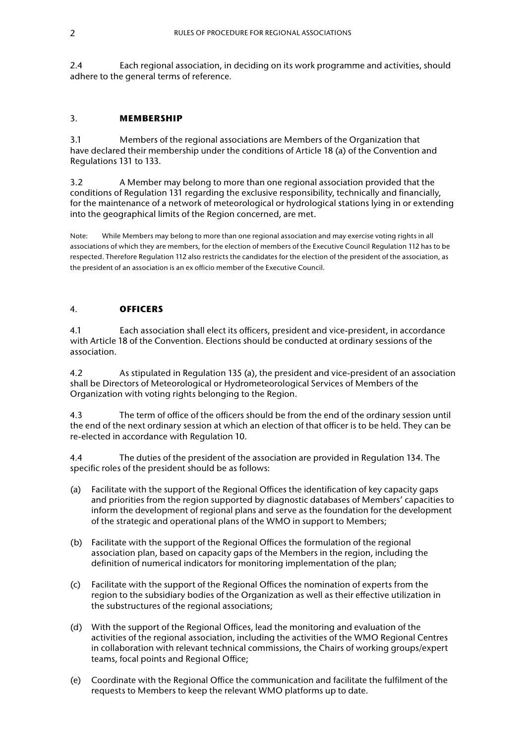<span id="page-7-0"></span>2.4 Each regional association, in deciding on its work programme and activities, should adhere to the general terms of reference.

#### 3. **MEMBERSHIP**

3.1 Members of the regional associations are Members of the Organization that have declared their membership under the conditions of Article 18 (a) of the Convention and Regulations 131 to 133.

3.2 A Member may belong to more than one regional association provided that the conditions of Regulation 131 regarding the exclusive responsibility, technically and financially, for the maintenance of a network of meteorological or hydrological stations lying in or extending into the geographical limits of the Region concerned, are met.

Note: While Members may belong to more than one regional association and may exercise voting rights in all associations of which they are members, for the election of members of the Executive Council Regulation 112 has to be respected. Therefore Regulation 112 also restricts the candidates for the election of the president of the association, as the president of an association is an ex officio member of the Executive Council.

#### 4. **OFFICERS**

4.1 Each association shall elect its officers, president and vice-president, in accordance with Article 18 of the Convention. Elections should be conducted at ordinary sessions of the association.

4.2 As stipulated in Regulation 135 (a), the president and vice-president of an association shall be Directors of Meteorological or Hydrometeorological Services of Members of the Organization with voting rights belonging to the Region.

4.3 The term of office of the officers should be from the end of the ordinary session until the end of the next ordinary session at which an election of that officer is to be held. They can be re-elected in accordance with Regulation 10.

4.4 The duties of the president of the association are provided in Regulation 134. The specific roles of the president should be as follows:

- (a) Facilitate with the support of the Regional Offices the identification of key capacity gaps and priorities from the region supported by diagnostic databases of Members' capacities to inform the development of regional plans and serve as the foundation for the development of the strategic and operational plans of the WMO in support to Members;
- (b) Facilitate with the support of the Regional Offices the formulation of the regional association plan, based on capacity gaps of the Members in the region, including the definition of numerical indicators for monitoring implementation of the plan;
- (c) Facilitate with the support of the Regional Offices the nomination of experts from the region to the subsidiary bodies of the Organization as well as their effective utilization in the substructures of the regional associations;
- (d) With the support of the Regional Offices, lead the monitoring and evaluation of the activities of the regional association, including the activities of the WMO Regional Centres in collaboration with relevant technical commissions, the Chairs of working groups/expert teams, focal points and Regional Office;
- (e) Coordinate with the Regional Office the communication and facilitate the fulfilment of the requests to Members to keep the relevant WMO platforms up to date.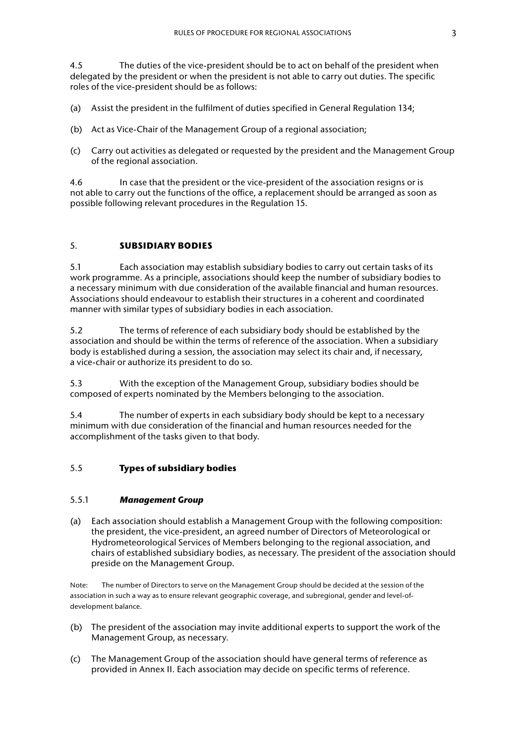<span id="page-8-0"></span>4.5 The duties of the vice-president should be to act on behalf of the president when delegated by the president or when the president is not able to carry out duties. The specific roles of the vice-president should be as follows:

- (a) Assist the president in the fulfilment of duties specified in General Regulation 134;
- (b) Act as Vice-Chair of the Management Group of a regional association;
- (c) Carry out activities as delegated or requested by the president and the Management Group of the regional association.

4.6 In case that the president or the vice-president of the association resigns or is not able to carry out the functions of the office, a replacement should be arranged as soon as possible following relevant procedures in the Regulation 15.

#### 5. **SUBSIDIARY BODIES**

5.1 Each association may establish subsidiary bodies to carry out certain tasks of its work programme. As a principle, associations should keep the number of subsidiary bodies to a necessary minimum with due consideration of the available financial and human resources. Associations should endeavour to establish their structures in a coherent and coordinated manner with similar types of subsidiary bodies in each association.

5.2 The terms of reference of each subsidiary body should be established by the association and should be within the terms of reference of the association. When a subsidiary body is established during a session, the association may select its chair and, if necessary, a vice-chair or authorize its president to do so.

5.3 With the exception of the Management Group, subsidiary bodies should be composed of experts nominated by the Members belonging to the association.

5.4 The number of experts in each subsidiary body should be kept to a necessary minimum with due consideration of the financial and human resources needed for the accomplishment of the tasks given to that body.

#### 5.5 **Types of subsidiary bodies**

## 5.5.1 *Management Group*

(a) Each association should establish a Management Group with the following composition: the president, the vice-president, an agreed number of Directors of Meteorological or Hydrometeorological Services of Members belonging to the regional association, and chairs of established subsidiary bodies, as necessary. The president of the association should preside on the Management Group.

Note: The number of Directors to serve on the Management Group should be decided at the session of the association in such a way as to ensure relevant geographic coverage, and subregional, gender and level-ofdevelopment balance.

- (b) The president of the association may invite additional experts to support the work of the Management Group, as necessary.
- (c) The Management Group of the association should have general terms of reference as provided in Annex II. Each association may decide on specific terms of reference.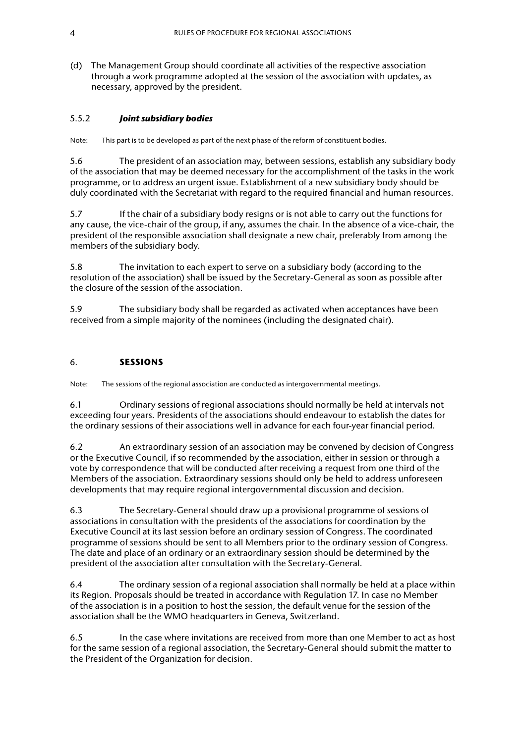<span id="page-9-0"></span>(d) The Management Group should coordinate all activities of the respective association through a work programme adopted at the session of the association with updates, as necessary, approved by the president.

#### 5.5.2 *Joint subsidiary bodies*

Note: This part is to be developed as part of the next phase of the reform of constituent bodies.

5.6 The president of an association may, between sessions, establish any subsidiary body of the association that may be deemed necessary for the accomplishment of the tasks in the work programme, or to address an urgent issue. Establishment of a new subsidiary body should be duly coordinated with the Secretariat with regard to the required financial and human resources.

5.7 If the chair of a subsidiary body resigns or is not able to carry out the functions for any cause, the vice-chair of the group, if any, assumes the chair. In the absence of a vice-chair, the president of the responsible association shall designate a new chair, preferably from among the members of the subsidiary body.

5.8 The invitation to each expert to serve on a subsidiary body (according to the resolution of the association) shall be issued by the Secretary-General as soon as possible after the closure of the session of the association.

5.9 The subsidiary body shall be regarded as activated when acceptances have been received from a simple majority of the nominees (including the designated chair).

#### 6. **SESSIONS**

Note: The sessions of the regional association are conducted as intergovernmental meetings.

6.1 Ordinary sessions of regional associations should normally be held at intervals not exceeding four years. Presidents of the associations should endeavour to establish the dates for the ordinary sessions of their associations well in advance for each four-year financial period.

6.2 An extraordinary session of an association may be convened by decision of Congress or the Executive Council, if so recommended by the association, either in session or through a vote by correspondence that will be conducted after receiving a request from one third of the Members of the association. Extraordinary sessions should only be held to address unforeseen developments that may require regional intergovernmental discussion and decision.

6.3 The Secretary-General should draw up a provisional programme of sessions of associations in consultation with the presidents of the associations for coordination by the Executive Council at its last session before an ordinary session of Congress. The coordinated programme of sessions should be sent to all Members prior to the ordinary session of Congress. The date and place of an ordinary or an extraordinary session should be determined by the president of the association after consultation with the Secretary-General.

6.4 The ordinary session of a regional association shall normally be held at a place within its Region. Proposals should be treated in accordance with Regulation 17. In case no Member of the association is in a position to host the session, the default venue for the session of the association shall be the WMO headquarters in Geneva, Switzerland.

6.5 In the case where invitations are received from more than one Member to act as host for the same session of a regional association, the Secretary-General should submit the matter to the President of the Organization for decision.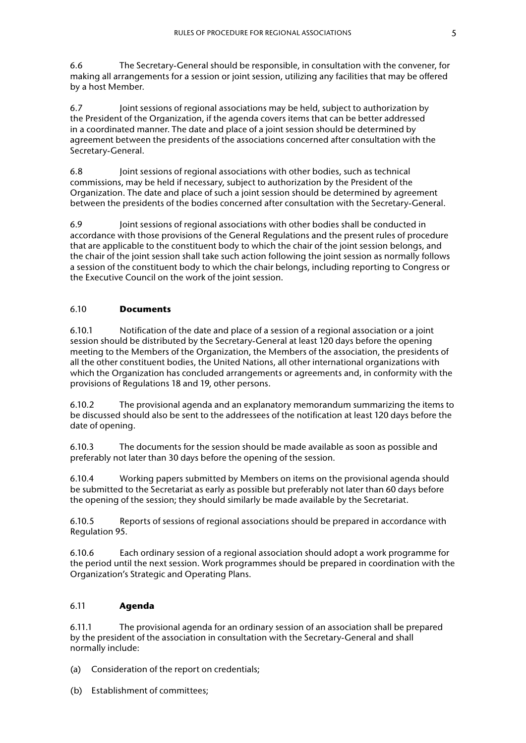6.6 The Secretary-General should be responsible, in consultation with the convener, for making all arrangements for a session or joint session, utilizing any facilities that may be offered by a host Member.

6.7 Joint sessions of regional associations may be held, subject to authorization by the President of the Organization, if the agenda covers items that can be better addressed in a coordinated manner. The date and place of a joint session should be determined by agreement between the presidents of the associations concerned after consultation with the Secretary-General.

6.8 Joint sessions of regional associations with other bodies, such as technical commissions, may be held if necessary, subject to authorization by the President of the Organization. The date and place of such a joint session should be determined by agreement between the presidents of the bodies concerned after consultation with the Secretary-General.

6.9 Joint sessions of regional associations with other bodies shall be conducted in accordance with those provisions of the General Regulations and the present rules of procedure that are applicable to the constituent body to which the chair of the joint session belongs, and the chair of the joint session shall take such action following the joint session as normally follows a session of the constituent body to which the chair belongs, including reporting to Congress or the Executive Council on the work of the joint session.

# 6.10 **Documents**

6.10.1 Notification of the date and place of a session of a regional association or a joint session should be distributed by the Secretary-General at least 120 days before the opening meeting to the Members of the Organization, the Members of the association, the presidents of all the other constituent bodies, the United Nations, all other international organizations with which the Organization has concluded arrangements or agreements and, in conformity with the provisions of Regulations 18 and 19, other persons.

6.10.2 The provisional agenda and an explanatory memorandum summarizing the items to be discussed should also be sent to the addressees of the notification at least 120 days before the date of opening.

6.10.3 The documents for the session should be made available as soon as possible and preferably not later than 30 days before the opening of the session.

6.10.4 Working papers submitted by Members on items on the provisional agenda should be submitted to the Secretariat as early as possible but preferably not later than 60 days before the opening of the session; they should similarly be made available by the Secretariat.

6.10.5 Reports of sessions of regional associations should be prepared in accordance with Regulation 95.

6.10.6 Each ordinary session of a regional association should adopt a work programme for the period until the next session. Work programmes should be prepared in coordination with the Organization's Strategic and Operating Plans.

## 6.11 **Agenda**

6.11.1 The provisional agenda for an ordinary session of an association shall be prepared by the president of the association in consultation with the Secretary-General and shall normally include:

- (a) Consideration of the report on credentials;
- (b) Establishment of committees;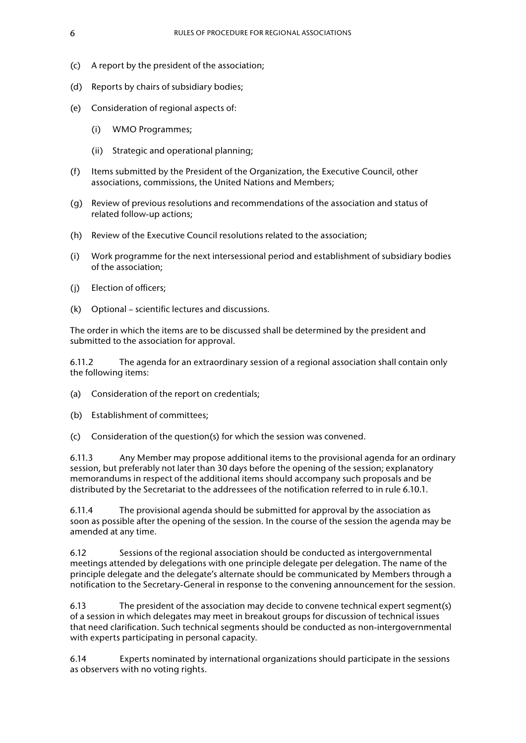- (c) A report by the president of the association;
- (d) Reports by chairs of subsidiary bodies;
- (e) Consideration of regional aspects of:
	- (i) WMO Programmes;
	- (ii) Strategic and operational planning;
- (f) Items submitted by the President of the Organization, the Executive Council, other associations, commissions, the United Nations and Members;
- (g) Review of previous resolutions and recommendations of the association and status of related follow-up actions;
- (h) Review of the Executive Council resolutions related to the association;
- (i) Work programme for the next intersessional period and establishment of subsidiary bodies of the association;
- (j) Election of officers;
- (k) Optional scientific lectures and discussions.

The order in which the items are to be discussed shall be determined by the president and submitted to the association for approval.

6.11.2 The agenda for an extraordinary session of a regional association shall contain only the following items:

- (a) Consideration of the report on credentials;
- (b) Establishment of committees;
- (c) Consideration of the question(s) for which the session was convened.

6.11.3 Any Member may propose additional items to the provisional agenda for an ordinary session, but preferably not later than 30 days before the opening of the session; explanatory memorandums in respect of the additional items should accompany such proposals and be distributed by the Secretariat to the addressees of the notification referred to in rule 6.10.1.

6.11.4 The provisional agenda should be submitted for approval by the association as soon as possible after the opening of the session. In the course of the session the agenda may be amended at any time.

6.12 Sessions of the regional association should be conducted as intergovernmental meetings attended by delegations with one principle delegate per delegation. The name of the principle delegate and the delegate's alternate should be communicated by Members through a notification to the Secretary-General in response to the convening announcement for the session.

6.13 The president of the association may decide to convene technical expert segment(s) of a session in which delegates may meet in breakout groups for discussion of technical issues that need clarification. Such technical segments should be conducted as non-intergovernmental with experts participating in personal capacity.

6.14 Experts nominated by international organizations should participate in the sessions as observers with no voting rights.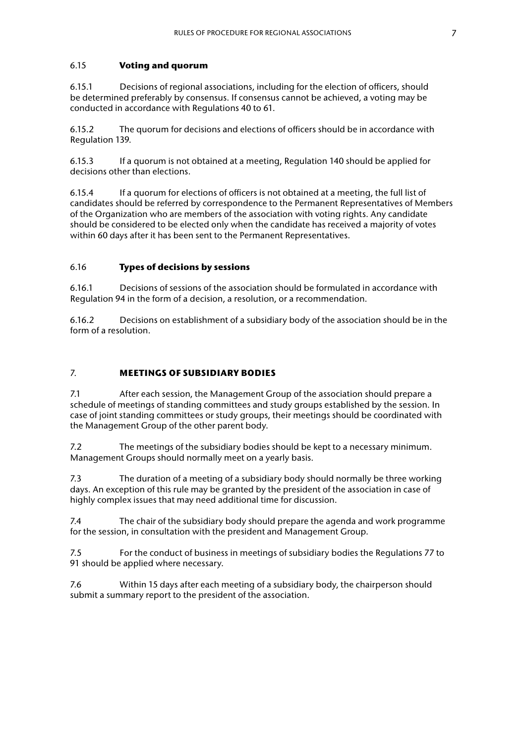#### <span id="page-12-0"></span>6.15 **Voting and quorum**

6.15.1 Decisions of regional associations, including for the election of officers, should be determined preferably by consensus. If consensus cannot be achieved, a voting may be conducted in accordance with Regulations 40 to 61.

6.15.2 The quorum for decisions and elections of officers should be in accordance with Regulation 139.

6.15.3 If a quorum is not obtained at a meeting, Regulation 140 should be applied for decisions other than elections.

6.15.4 If a quorum for elections of officers is not obtained at a meeting, the full list of candidates should be referred by correspondence to the Permanent Representatives of Members of the Organization who are members of the association with voting rights. Any candidate should be considered to be elected only when the candidate has received a majority of votes within 60 days after it has been sent to the Permanent Representatives.

#### 6.16 **Types of decisions by sessions**

6.16.1 Decisions of sessions of the association should be formulated in accordance with Regulation 94 in the form of a decision, a resolution, or a recommendation.

6.16.2 Decisions on establishment of a subsidiary body of the association should be in the form of a resolution.

#### 7. **MEETINGS OF SUBSIDIARY BODIES**

7.1 After each session, the Management Group of the association should prepare a schedule of meetings of standing committees and study groups established by the session. In case of joint standing committees or study groups, their meetings should be coordinated with the Management Group of the other parent body.

7.2 The meetings of the subsidiary bodies should be kept to a necessary minimum. Management Groups should normally meet on a yearly basis.

7.3 The duration of a meeting of a subsidiary body should normally be three working days. An exception of this rule may be granted by the president of the association in case of highly complex issues that may need additional time for discussion.

7.4 The chair of the subsidiary body should prepare the agenda and work programme for the session, in consultation with the president and Management Group.

7.5 For the conduct of business in meetings of subsidiary bodies the Regulations 77 to 91 should be applied where necessary.

7.6 Within 15 days after each meeting of a subsidiary body, the chairperson should submit a summary report to the president of the association.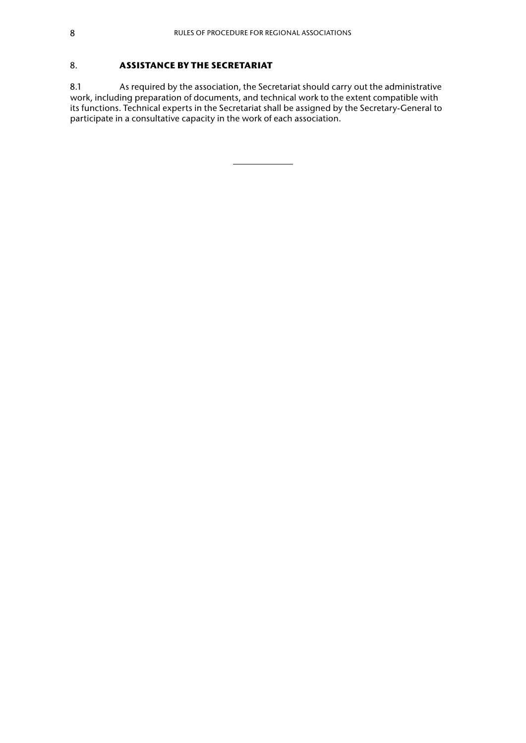## <span id="page-13-0"></span>8. **ASSISTANCE BY THE SECRETARIAT**

8.1 As required by the association, the Secretariat should carry out the administrative work, including preparation of documents, and technical work to the extent compatible with its functions. Technical experts in the Secretariat shall be assigned by the Secretary-General to participate in a consultative capacity in the work of each association.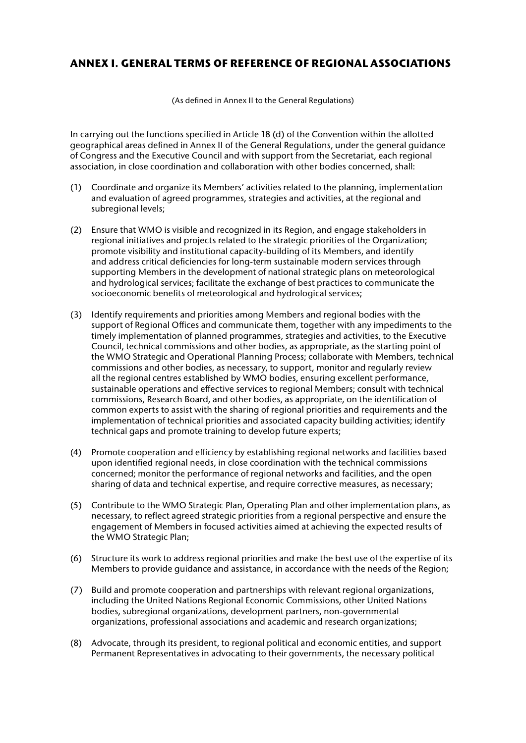# <span id="page-14-0"></span>**ANNEX I. GENERAL TERMS OF REFERENCE OF REGIONAL ASSOCIATIONS**

(As defined in Annex II to the General Regulations)

In carrying out the functions specified in Article 18 (d) of the Convention within the allotted geographical areas defined in Annex II of the General Regulations, under the general guidance of Congress and the Executive Council and with support from the Secretariat, each regional association, in close coordination and collaboration with other bodies concerned, shall:

- (1) Coordinate and organize its Members' activities related to the planning, implementation and evaluation of agreed programmes, strategies and activities, at the regional and subregional levels;
- (2) Ensure that WMO is visible and recognized in its Region, and engage stakeholders in regional initiatives and projects related to the strategic priorities of the Organization; promote visibility and institutional capacity-building of its Members, and identify and address critical deficiencies for long-term sustainable modern services through supporting Members in the development of national strategic plans on meteorological and hydrological services; facilitate the exchange of best practices to communicate the socioeconomic benefits of meteorological and hydrological services;
- (3) Identify requirements and priorities among Members and regional bodies with the support of Regional Offices and communicate them, together with any impediments to the timely implementation of planned programmes, strategies and activities, to the Executive Council, technical commissions and other bodies, as appropriate, as the starting point of the WMO Strategic and Operational Planning Process; collaborate with Members, technical commissions and other bodies, as necessary, to support, monitor and regularly review all the regional centres established by WMO bodies, ensuring excellent performance, sustainable operations and effective services to regional Members; consult with technical commissions, Research Board, and other bodies, as appropriate, on the identification of common experts to assist with the sharing of regional priorities and requirements and the implementation of technical priorities and associated capacity building activities; identify technical gaps and promote training to develop future experts;
- (4) Promote cooperation and efficiency by establishing regional networks and facilities based upon identified regional needs, in close coordination with the technical commissions concerned; monitor the performance of regional networks and facilities, and the open sharing of data and technical expertise, and require corrective measures, as necessary;
- (5) Contribute to the WMO Strategic Plan, Operating Plan and other implementation plans, as necessary, to reflect agreed strategic priorities from a regional perspective and ensure the engagement of Members in focused activities aimed at achieving the expected results of the WMO Strategic Plan;
- (6) Structure its work to address regional priorities and make the best use of the expertise of its Members to provide guidance and assistance, in accordance with the needs of the Region;
- (7) Build and promote cooperation and partnerships with relevant regional organizations, including the United Nations Regional Economic Commissions, other United Nations bodies, subregional organizations, development partners, non-governmental organizations, professional associations and academic and research organizations;
- (8) Advocate, through its president, to regional political and economic entities, and support Permanent Representatives in advocating to their governments, the necessary political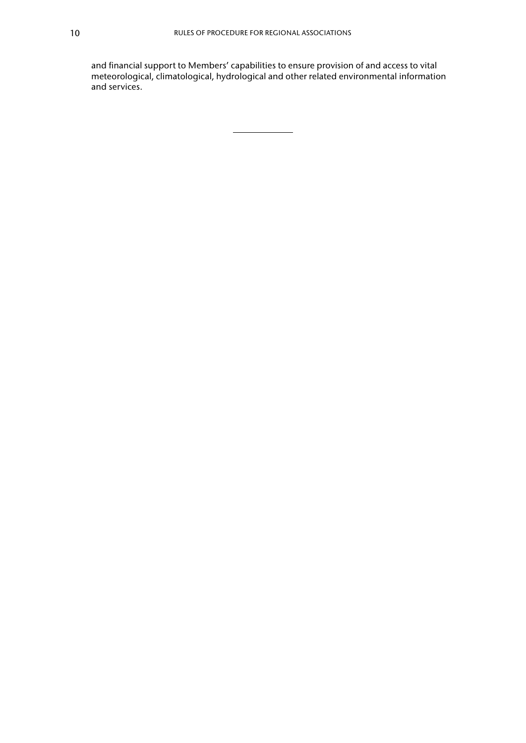and financial support to Members' capabilities to ensure provision of and access to vital meteorological, climatological, hydrological and other related environmental information and services.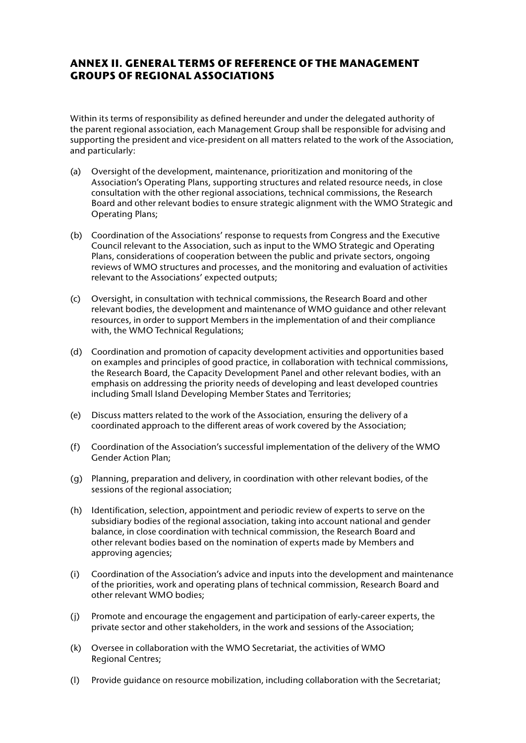# <span id="page-16-0"></span>**ANNEX II. GENERAL TERMS OF REFERENCE OF THE MANAGEMENT GROUPS OF REGIONAL ASSOCIATIONS**

Within its terms of responsibility as defined hereunder and under the delegated authority of the parent regional association, each Management Group shall be responsible for advising and supporting the president and vice-president on all matters related to the work of the Association, and particularly:

- (a) Oversight of the development, maintenance, prioritization and monitoring of the Association's Operating Plans, supporting structures and related resource needs, in close consultation with the other regional associations, technical commissions, the Research Board and other relevant bodies to ensure strategic alignment with the WMO Strategic and Operating Plans;
- (b) Coordination of the Associations' response to requests from Congress and the Executive Council relevant to the Association, such as input to the WMO Strategic and Operating Plans, considerations of cooperation between the public and private sectors, ongoing reviews of WMO structures and processes, and the monitoring and evaluation of activities relevant to the Associations' expected outputs;
- (c) Oversight, in consultation with technical commissions, the Research Board and other relevant bodies, the development and maintenance of WMO guidance and other relevant resources, in order to support Members in the implementation of and their compliance with, the WMO Technical Regulations;
- (d) Coordination and promotion of capacity development activities and opportunities based on examples and principles of good practice, in collaboration with technical commissions, the Research Board, the Capacity Development Panel and other relevant bodies, with an emphasis on addressing the priority needs of developing and least developed countries including Small Island Developing Member States and Territories;
- (e) Discuss matters related to the work of the Association, ensuring the delivery of a coordinated approach to the different areas of work covered by the Association;
- (f) Coordination of the Association's successful implementation of the delivery of the WMO Gender Action Plan;
- (g) Planning, preparation and delivery, in coordination with other relevant bodies, of the sessions of the regional association;
- (h) Identification, selection, appointment and periodic review of experts to serve on the subsidiary bodies of the regional association, taking into account national and gender balance, in close coordination with technical commission, the Research Board and other relevant bodies based on the nomination of experts made by Members and approving agencies;
- (i) Coordination of the Association's advice and inputs into the development and maintenance of the priorities, work and operating plans of technical commission, Research Board and other relevant WMO bodies;
- (j) Promote and encourage the engagement and participation of early-career experts, the private sector and other stakeholders, in the work and sessions of the Association;
- (k) Oversee in collaboration with the WMO Secretariat, the activities of WMO Regional Centres;
- (l) Provide guidance on resource mobilization, including collaboration with the Secretariat;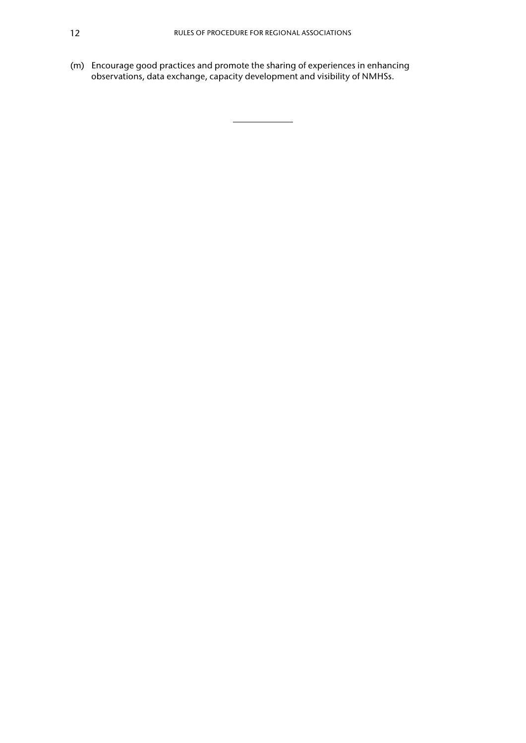(m) Encourage good practices and promote the sharing of experiences in enhancing observations, data exchange, capacity development and visibility of NMHSs.